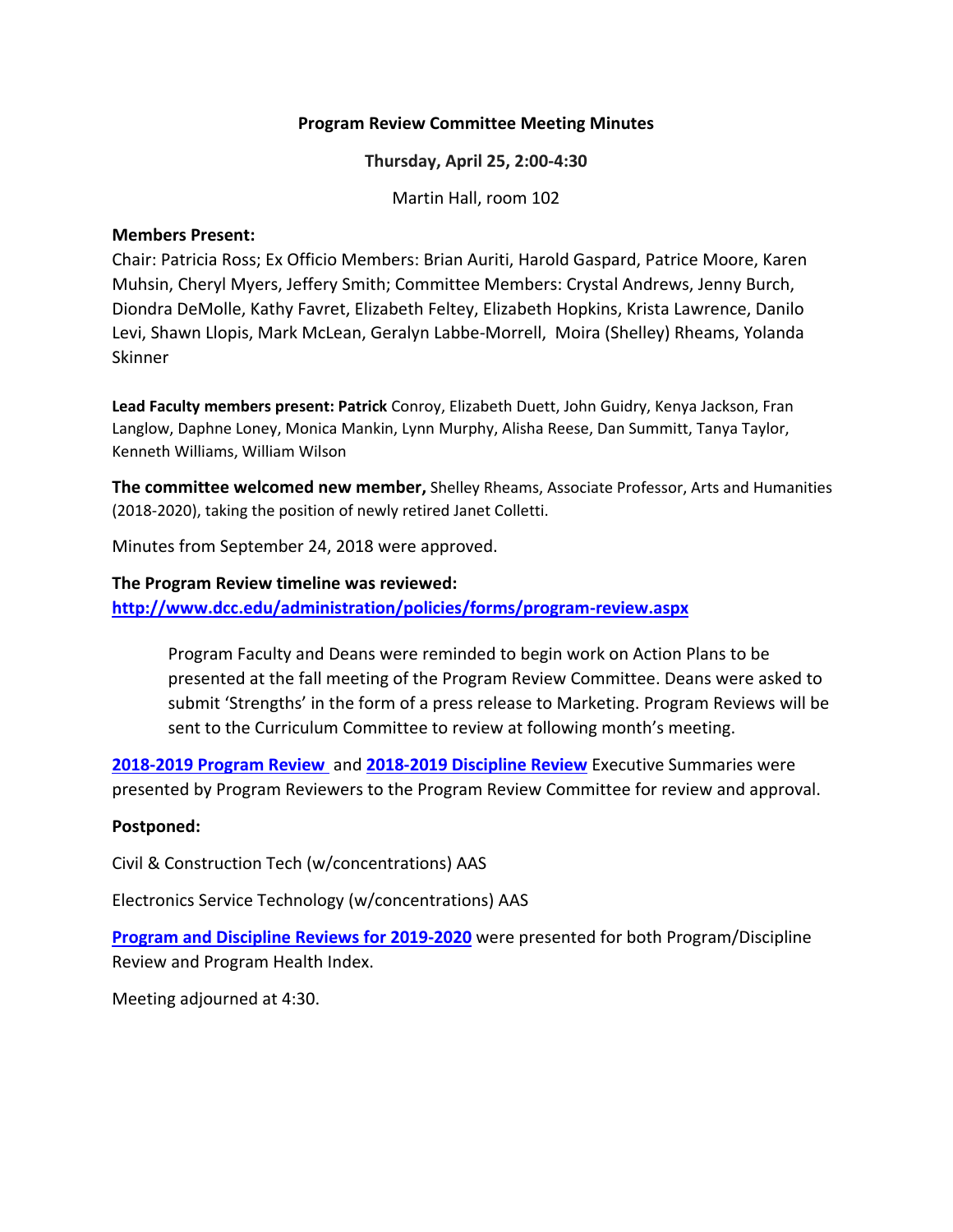### **Program Review Committee Meeting Minutes**

**Thursday, April 25, 2:00-4:30**

Martin Hall, room 102

#### **Members Present:**

Chair: Patricia Ross; Ex Officio Members: Brian Auriti, Harold Gaspard, Patrice Moore, Karen Muhsin, Cheryl Myers, Jeffery Smith; Committee Members: Crystal Andrews, Jenny Burch, Diondra DeMolle, Kathy Favret, Elizabeth Feltey, Elizabeth Hopkins, Krista Lawrence, Danilo Levi, Shawn Llopis, Mark McLean, Geralyn Labbe-Morrell, Moira (Shelley) Rheams, Yolanda Skinner

**Lead Faculty members present: Patrick** Conroy, Elizabeth Duett, John Guidry, Kenya Jackson, Fran Langlow, Daphne Loney, Monica Mankin, Lynn Murphy, Alisha Reese, Dan Summitt, Tanya Taylor, Kenneth Williams, William Wilson

**The committee welcomed new member,** Shelley Rheams, Associate Professor, Arts and Humanities (2018-2020), taking the position of newly retired Janet Colletti.

Minutes from September 24, 2018 were approved.

### **The Program Review timeline was reviewed:**

**<http://www.dcc.edu/administration/policies/forms/program-review.aspx>**

Program Faculty and Deans were reminded to begin work on Action Plans to be presented at the fall meeting of the Program Review Committee. Deans were asked to submit 'Strengths' in the form of a press release to Marketing. Program Reviews will be sent to the Curriculum Committee to review at following month's meeting.

**[2018-2019 Program](#page-0-0) Review** and **[2018-2019 Discipline Review](#page-2-0)** Executive Summaries were presented by Program Reviewers to the Program Review Committee for review and approval.

### **Postponed:**

Civil & Construction Tech (w/concentrations) AAS

Electronics Service Technology (w/concentrations) AAS

**[Program and Discipline Reviews](#page-3-0) for 2019-2020** were presented for both Program/Discipline Review and Program Health Index.

<span id="page-0-0"></span>Meeting adjourned at 4:30.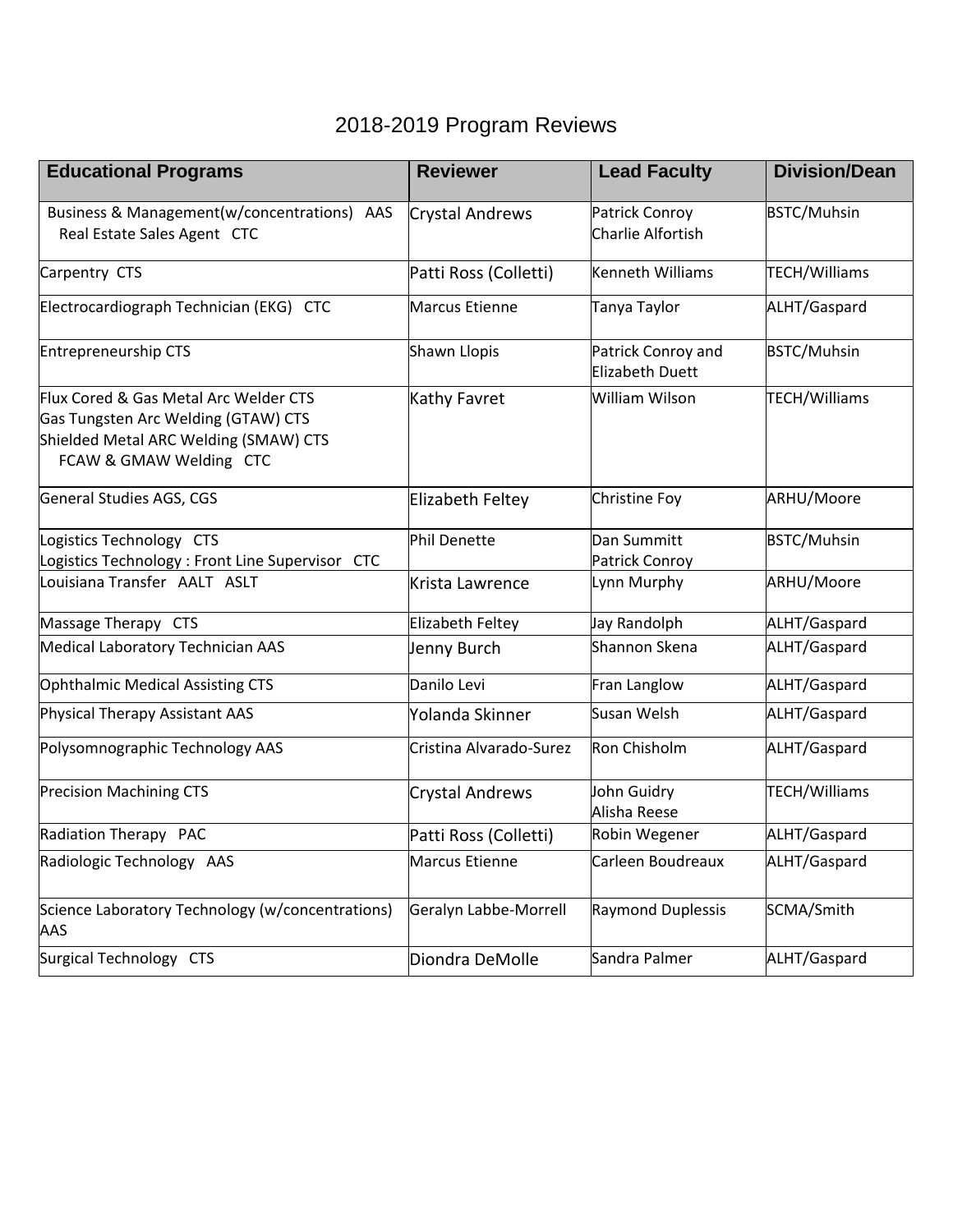### 2018-2019 Program Reviews

| <b>Educational Programs</b>                                                                                                                      | <b>Reviewer</b>         | <b>Lead Faculty</b>                   | <b>Division/Dean</b> |
|--------------------------------------------------------------------------------------------------------------------------------------------------|-------------------------|---------------------------------------|----------------------|
| Business & Management(w/concentrations) AAS<br>Real Estate Sales Agent CTC                                                                       | <b>Crystal Andrews</b>  | Patrick Conroy<br>Charlie Alfortish   | <b>BSTC/Muhsin</b>   |
| Carpentry CTS                                                                                                                                    | Patti Ross (Colletti)   | Kenneth Williams                      | TECH/Williams        |
| Electrocardiograph Technician (EKG) CTC                                                                                                          | Marcus Etienne          | Tanya Taylor                          | ALHT/Gaspard         |
| Entrepreneurship CTS                                                                                                                             | Shawn Llopis            | Patrick Conroy and<br>Elizabeth Duett | <b>BSTC/Muhsin</b>   |
| Flux Cored & Gas Metal Arc Welder CTS<br>Gas Tungsten Arc Welding (GTAW) CTS<br>Shielded Metal ARC Welding (SMAW) CTS<br>FCAW & GMAW Welding CTC | Kathy Favret            | <b>William Wilson</b>                 | <b>TECH/Williams</b> |
| General Studies AGS, CGS                                                                                                                         | Elizabeth Feltey        | Christine Foy                         | ARHU/Moore           |
| Logistics Technology CTS<br>Logistics Technology: Front Line Supervisor CTC                                                                      | Phil Denette            | Dan Summitt<br>Patrick Conroy         | <b>BSTC/Muhsin</b>   |
| Louisiana Transfer AALT ASLT                                                                                                                     | Krista Lawrence         | Lynn Murphy                           | ARHU/Moore           |
| Massage Therapy CTS                                                                                                                              | Elizabeth Feltey        | Jay Randolph                          | ALHT/Gaspard         |
| Medical Laboratory Technician AAS                                                                                                                | Jenny Burch             | Shannon Skena                         | ALHT/Gaspard         |
| Ophthalmic Medical Assisting CTS                                                                                                                 | Danilo Levi             | Fran Langlow                          | ALHT/Gaspard         |
| Physical Therapy Assistant AAS                                                                                                                   | Yolanda Skinner         | Susan Welsh                           | ALHT/Gaspard         |
| Polysomnographic Technology AAS                                                                                                                  | Cristina Alvarado-Surez | Ron Chisholm                          | ALHT/Gaspard         |
| <b>Precision Machining CTS</b>                                                                                                                   | <b>Crystal Andrews</b>  | John Guidry<br>Alisha Reese           | TECH/Williams        |
| Radiation Therapy PAC                                                                                                                            | Patti Ross (Colletti)   | Robin Wegener                         | ALHT/Gaspard         |
| Radiologic Technology AAS                                                                                                                        | Marcus Etienne          | Carleen Boudreaux                     | ALHT/Gaspard         |
| Science Laboratory Technology (w/concentrations)<br>AAS                                                                                          | Geralyn Labbe-Morrell   | Raymond Duplessis                     | SCMA/Smith           |
| Surgical Technology CTS                                                                                                                          | Diondra DeMolle         | Sandra Palmer                         | ALHT/Gaspard         |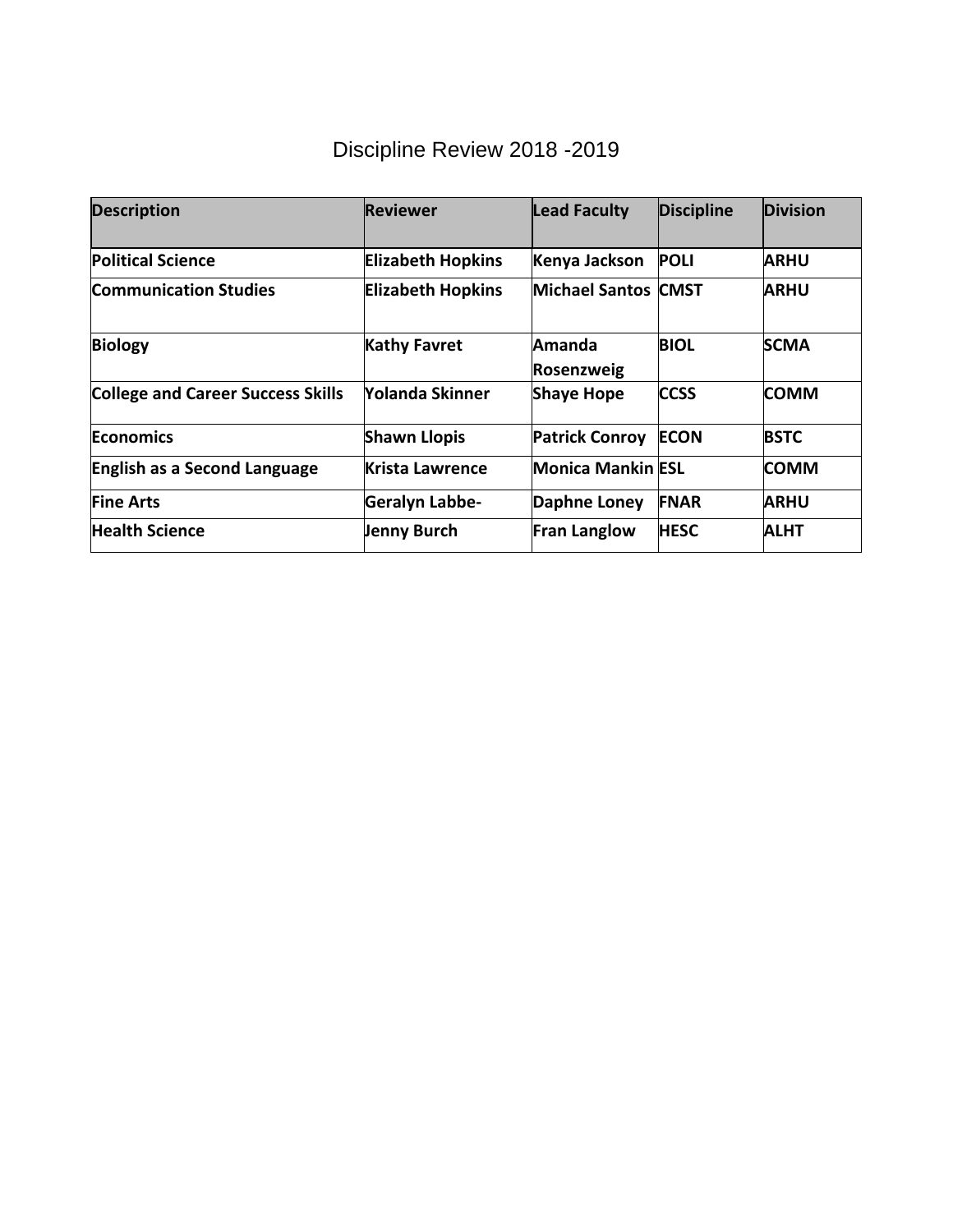# Discipline Review 2018 -2019

<span id="page-2-0"></span>

| <b>Description</b>                       | Reviewer                 | <b>Lead Faculty</b>         | <b>Discipline</b> | <b>Division</b> |
|------------------------------------------|--------------------------|-----------------------------|-------------------|-----------------|
| <b>Political Science</b>                 | <b>Elizabeth Hopkins</b> | Kenya Jackson               | <b>POLI</b>       | <b>ARHU</b>     |
| <b>Communication Studies</b>             | <b>Elizabeth Hopkins</b> | <b>Michael Santos CMST</b>  |                   | <b>ARHU</b>     |
| <b>Biology</b>                           | <b>Kathy Favret</b>      | Amanda<br><b>Rosenzweig</b> | <b>BIOL</b>       | <b>SCMA</b>     |
| <b>College and Career Success Skills</b> | Yolanda Skinner          | <b>Shaye Hope</b>           | <b>CCSS</b>       | <b>COMM</b>     |
| <b>Economics</b>                         | <b>Shawn Llopis</b>      | <b>Patrick Conroy</b>       | <b>ECON</b>       | <b>BSTC</b>     |
| <b>English as a Second Language</b>      | Krista Lawrence          | <b>Monica Mankin ESL</b>    |                   | <b>COMM</b>     |
| <b>Fine Arts</b>                         | Geralyn Labbe-           | Daphne Loney                | <b>FNAR</b>       | <b>ARHU</b>     |
| <b>Health Science</b>                    | <b>Jenny Burch</b>       | <b>Fran Langlow</b>         | <b>HESC</b>       | ALHT            |